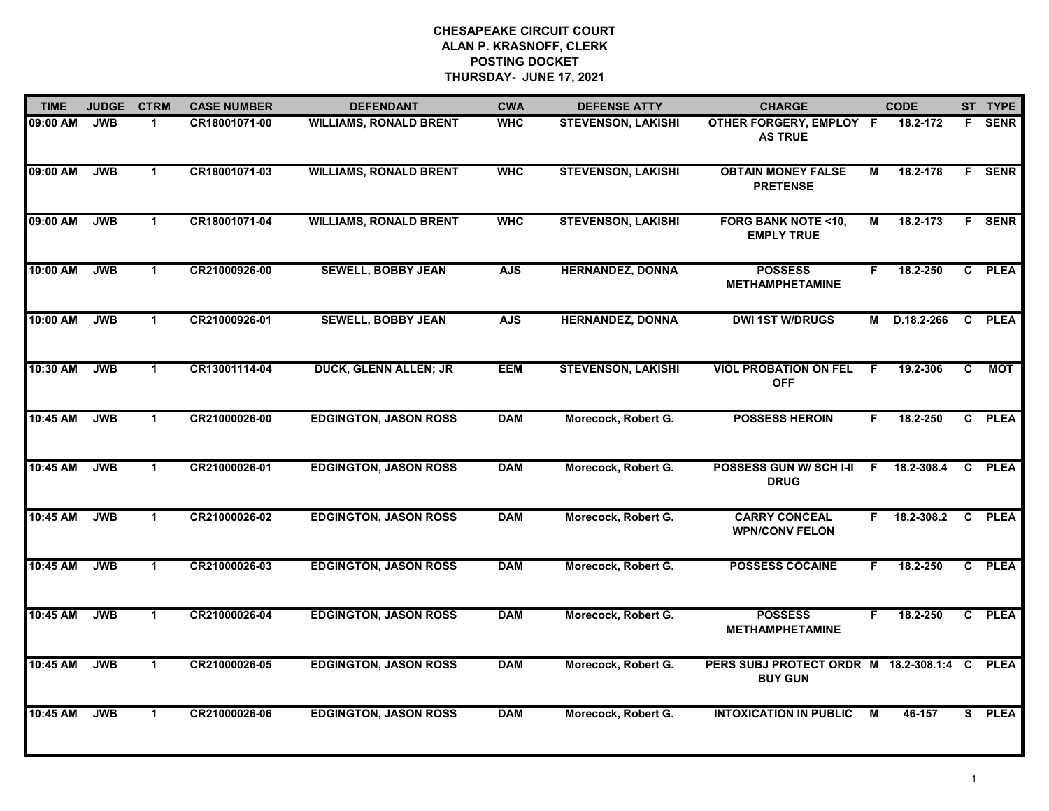| <b>TIME</b> | <b>JUDGE</b> | <b>CTRM</b>          | <b>CASE NUMBER</b> | <b>DEFENDANT</b>              | <b>CWA</b> | <b>DEFENSE ATTY</b>       | <b>CHARGE</b>                                             |    | <b>CODE</b> |              | ST TYPE     |
|-------------|--------------|----------------------|--------------------|-------------------------------|------------|---------------------------|-----------------------------------------------------------|----|-------------|--------------|-------------|
| 09:00 AM    | <b>JWB</b>   | 1                    | CR18001071-00      | <b>WILLIAMS, RONALD BRENT</b> | <b>WHC</b> | <b>STEVENSON, LAKISHI</b> | OTHER FORGERY, EMPLOY F<br><b>AS TRUE</b>                 |    | 18.2-172    | F.           | <b>SENR</b> |
| 09:00 AM    | <b>JWB</b>   | $\mathbf 1$          | CR18001071-03      | <b>WILLIAMS, RONALD BRENT</b> | <b>WHC</b> | <b>STEVENSON, LAKISHI</b> | <b>OBTAIN MONEY FALSE</b><br><b>PRETENSE</b>              | М  | 18.2-178    |              | F SENR      |
| 09:00 AM    | <b>JWB</b>   | $\mathbf 1$          | CR18001071-04      | <b>WILLIAMS, RONALD BRENT</b> | <b>WHC</b> | <b>STEVENSON, LAKISHI</b> | <b>FORG BANK NOTE &lt;10,</b><br><b>EMPLY TRUE</b>        | М  | 18.2-173    |              | F SENR      |
| 10:00 AM    | <b>JWB</b>   | 1                    | CR21000926-00      | <b>SEWELL, BOBBY JEAN</b>     | <b>AJS</b> | <b>HERNANDEZ, DONNA</b>   | <b>POSSESS</b><br><b>METHAMPHETAMINE</b>                  | F. | 18.2-250    |              | C PLEA      |
| 10:00 AM    | <b>JWB</b>   | $\mathbf 1$          | CR21000926-01      | <b>SEWELL, BOBBY JEAN</b>     | <b>AJS</b> | <b>HERNANDEZ, DONNA</b>   | <b>DWI 1ST W/DRUGS</b>                                    | М  | D.18.2-266  |              | C PLEA      |
| 10:30 AM    | <b>JWB</b>   | $\mathbf 1$          | CR13001114-04      | <b>DUCK, GLENN ALLEN; JR</b>  | <b>EEM</b> | <b>STEVENSON, LAKISHI</b> | <b>VIOL PROBATION ON FEL</b><br><b>OFF</b>                | F. | 19.2-306    | C.           | MOT         |
| 10:45 AM    | <b>JWB</b>   | $\mathbf 1$          | CR21000026-00      | <b>EDGINGTON, JASON ROSS</b>  | <b>DAM</b> | Morecock, Robert G.       | <b>POSSESS HEROIN</b>                                     | F. | 18.2-250    |              | C PLEA      |
| 10:45 AM    | <b>JWB</b>   | $\mathbf{1}$         | CR21000026-01      | <b>EDGINGTON, JASON ROSS</b>  | <b>DAM</b> | Morecock, Robert G.       | POSSESS GUN W/ SCH I-II<br><b>DRUG</b>                    | F. | 18.2-308.4  | $\mathbf{c}$ | <b>PLEA</b> |
| 10:45 AM    | <b>JWB</b>   | $\mathbf{1}$         | CR21000026-02      | <b>EDGINGTON, JASON ROSS</b>  | <b>DAM</b> | Morecock, Robert G.       | <b>CARRY CONCEAL</b><br><b>WPN/CONV FELON</b>             | F. | 18.2-308.2  | $\mathbf{C}$ | <b>PLEA</b> |
| 10:45 AM    | <b>JWB</b>   | $\blacktriangleleft$ | CR21000026-03      | <b>EDGINGTON, JASON ROSS</b>  | <b>DAM</b> | Morecock, Robert G.       | <b>POSSESS COCAINE</b>                                    | F. | 18.2-250    |              | C PLEA      |
| 10:45 AM    | <b>JWB</b>   | $\mathbf{1}$         | CR21000026-04      | <b>EDGINGTON, JASON ROSS</b>  | <b>DAM</b> | Morecock, Robert G.       | <b>POSSESS</b><br><b>METHAMPHETAMINE</b>                  | F. | 18.2-250    |              | C PLEA      |
| 10:45 AM    | <b>JWB</b>   | $\mathbf{1}$         | CR21000026-05      | <b>EDGINGTON, JASON ROSS</b>  | <b>DAM</b> | Morecock, Robert G.       | PERS SUBJ PROTECT ORDR M 18.2-308.1:4 C<br><b>BUY GUN</b> |    |             |              | <b>PLEA</b> |
| 10:45 AM    | <b>JWB</b>   | $\mathbf 1$          | CR21000026-06      | <b>EDGINGTON, JASON ROSS</b>  | <b>DAM</b> | Morecock, Robert G.       | <b>INTOXICATION IN PUBLIC</b>                             | M  | 46-157      |              | S PLEA      |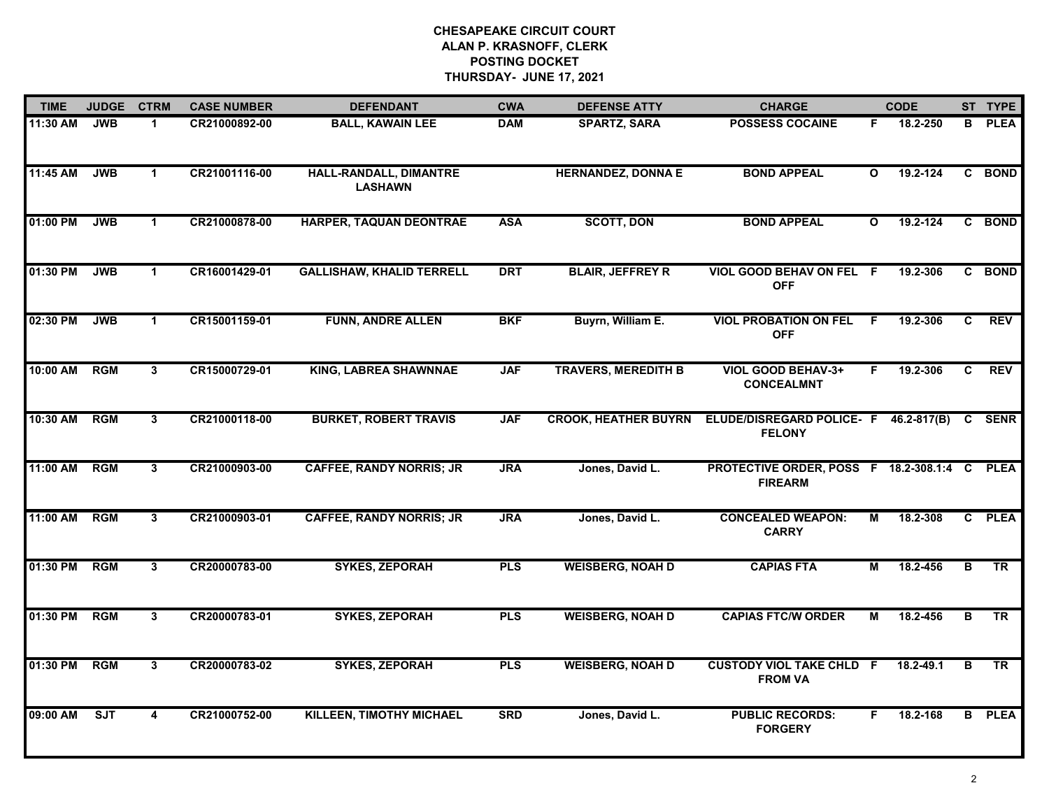| <b>TIME</b> | <b>JUDGE</b> | <b>CTRM</b>          | <b>CASE NUMBER</b> | <b>DEFENDANT</b>                         | <b>CWA</b> | <b>DEFENSE ATTY</b>         | <b>CHARGE</b>                                             |              | <b>CODE</b> |              | ST TYPE     |
|-------------|--------------|----------------------|--------------------|------------------------------------------|------------|-----------------------------|-----------------------------------------------------------|--------------|-------------|--------------|-------------|
| 11:30 AM    | <b>JWB</b>   | $\mathbf 1$          | CR21000892-00      | <b>BALL, KAWAIN LEE</b>                  | <b>DAM</b> | <b>SPARTZ, SARA</b>         | <b>POSSESS COCAINE</b>                                    | F.           | 18.2-250    | В            | <b>PLEA</b> |
| 11:45 AM    | <b>JWB</b>   | $\mathbf{1}$         | CR21001116-00      | HALL-RANDALL, DIMANTRE<br><b>LASHAWN</b> |            | <b>HERNANDEZ, DONNA E</b>   | <b>BOND APPEAL</b>                                        | $\mathbf{o}$ | 19.2-124    | C            | <b>BOND</b> |
| 01:00 PM    | <b>JWB</b>   | $\mathbf{1}$         | CR21000878-00      | HARPER, TAQUAN DEONTRAE                  | <b>ASA</b> | <b>SCOTT, DON</b>           | <b>BOND APPEAL</b>                                        | $\mathbf{o}$ | 19.2-124    |              | C BOND      |
| 01:30 PM    | <b>JWB</b>   | $\mathbf 1$          | CR16001429-01      | <b>GALLISHAW, KHALID TERRELL</b>         | <b>DRT</b> | <b>BLAIR, JEFFREY R</b>     | VIOL GOOD BEHAV ON FEL F<br><b>OFF</b>                    |              | 19.2-306    |              | C BOND      |
| 02:30 PM    | <b>JWB</b>   | $\blacktriangleleft$ | CR15001159-01      | <b>FUNN, ANDRE ALLEN</b>                 | <b>BKF</b> | Buyrn, William E.           | <b>VIOL PROBATION ON FEL</b><br><b>OFF</b>                | F.           | 19.2-306    | C            | <b>REV</b>  |
| 10:00 AM    | <b>RGM</b>   | 3                    | CR15000729-01      | <b>KING, LABREA SHAWNNAE</b>             | <b>JAF</b> | <b>TRAVERS, MEREDITH B</b>  | VIOL GOOD BEHAV-3+<br><b>CONCEALMNT</b>                   | F.           | 19.2-306    | C            | <b>REV</b>  |
| 10:30 AM    | <b>RGM</b>   | 3                    | CR21000118-00      | <b>BURKET, ROBERT TRAVIS</b>             | <b>JAF</b> | <b>CROOK, HEATHER BUYRN</b> | ELUDE/DISREGARD POLICE- F 46.2-817(B)<br><b>FELONY</b>    |              |             |              | C SENR      |
| 11:00 AM    | <b>RGM</b>   | $\mathbf{3}$         | CR21000903-00      | <b>CAFFEE, RANDY NORRIS; JR</b>          | <b>JRA</b> | Jones, David L.             | PROTECTIVE ORDER, POSS F 18.2-308.1:4 C<br><b>FIREARM</b> |              |             |              | <b>PLEA</b> |
| 11:00 AM    | RGM          | 3                    | CR21000903-01      | <b>CAFFEE, RANDY NORRIS; JR</b>          | <b>JRA</b> | Jones, David L.             | <b>CONCEALED WEAPON:</b><br><b>CARRY</b>                  | м            | 18.2-308    | $\mathbf{c}$ | <b>PLEA</b> |
| 01:30 PM    | <b>RGM</b>   | 3                    | CR20000783-00      | <b>SYKES, ZEPORAH</b>                    | <b>PLS</b> | <b>WEISBERG, NOAH D</b>     | <b>CAPIAS FTA</b>                                         | М            | 18.2-456    | В            | TR          |
| 01:30 PM    | <b>RGM</b>   | $\mathbf{3}$         | CR20000783-01      | <b>SYKES, ZEPORAH</b>                    | <b>PLS</b> | <b>WEISBERG, NOAH D</b>     | <b>CAPIAS FTC/W ORDER</b>                                 | М            | 18.2-456    | B            | TR          |
| 01:30 PM    | <b>RGM</b>   | 3                    | CR20000783-02      | <b>SYKES, ZEPORAH</b>                    | <b>PLS</b> | <b>WEISBERG, NOAH D</b>     | <b>CUSTODY VIOL TAKE CHLD F</b><br><b>FROM VA</b>         |              | 18.2-49.1   | B            | TR          |
| 09:00 AM    | SJT          | 4                    | CR21000752-00      | KILLEEN, TIMOTHY MICHAEL                 | <b>SRD</b> | Jones, David L.             | <b>PUBLIC RECORDS:</b><br><b>FORGERY</b>                  | F.           | 18.2-168    | B.           | <b>PLEA</b> |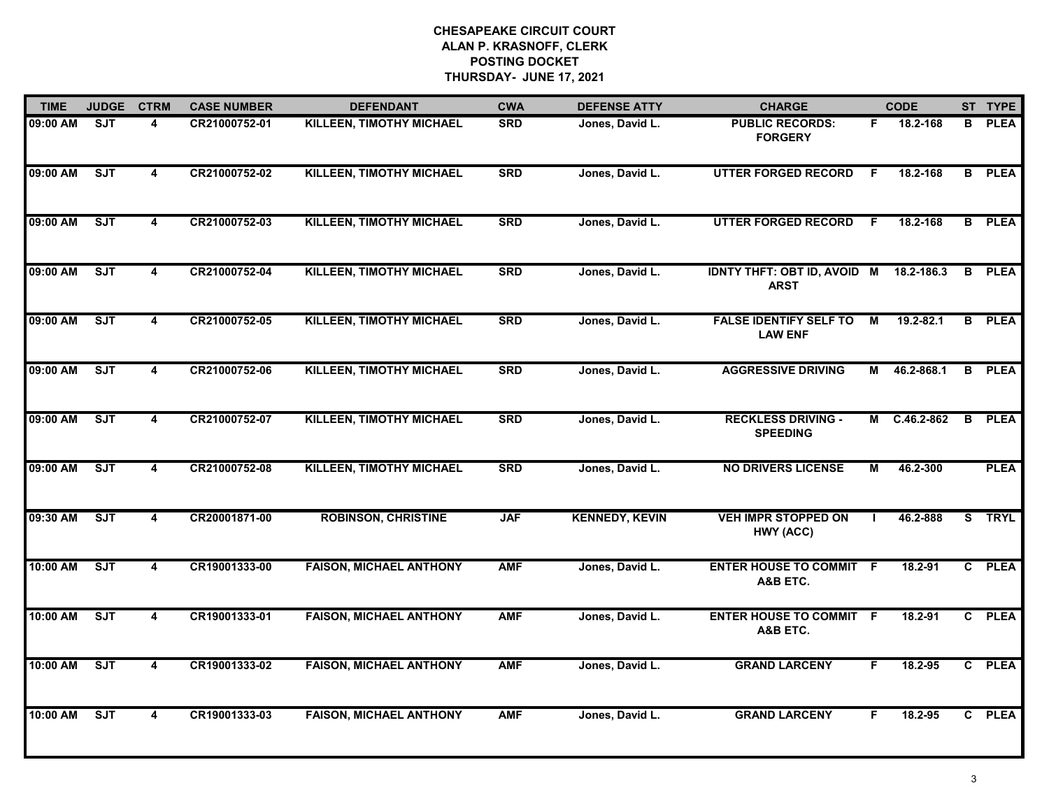| <b>TIME</b> | <b>JUDGE</b> | <b>CTRM</b>             | <b>CASE NUMBER</b> | <b>DEFENDANT</b>                | <b>CWA</b> | <b>DEFENSE ATTY</b>   | <b>CHARGE</b>                                     |                | <b>CODE</b>    |                | ST TYPE     |
|-------------|--------------|-------------------------|--------------------|---------------------------------|------------|-----------------------|---------------------------------------------------|----------------|----------------|----------------|-------------|
| 09:00 AM    | ST           | 4                       | CR21000752-01      | <b>KILLEEN, TIMOTHY MICHAEL</b> | <b>SRD</b> | Jones, David L.       | <b>PUBLIC RECORDS:</b><br><b>FORGERY</b>          | F.             | 18.2-168       | B.             | <b>PLEA</b> |
| 09:00 AM    | ST           | $\overline{\mathbf{4}}$ | CR21000752-02      | <b>KILLEEN, TIMOTHY MICHAEL</b> | <b>SRD</b> | Jones, David L.       | <b>UTTER FORGED RECORD</b>                        | -F             | 18.2-168       | B.             | <b>PLEA</b> |
| 09:00 AM    | ST           | 4                       | CR21000752-03      | KILLEEN, TIMOTHY MICHAEL        | <b>SRD</b> | Jones, David L.       | <b>UTTER FORGED RECORD</b>                        | F              | 18.2-168       | $\overline{B}$ | <b>PLEA</b> |
| 09:00 AM    | SJT          | 4                       | CR21000752-04      | <b>KILLEEN, TIMOTHY MICHAEL</b> | <b>SRD</b> | Jones, David L.       | <b>IDNTY THFT: OBT ID, AVOID M</b><br><b>ARST</b> |                | 18.2-186.3     | B              | <b>PLEA</b> |
| 09:00 AM    | ST           | 4                       | CR21000752-05      | <b>KILLEEN, TIMOTHY MICHAEL</b> | <b>SRD</b> | Jones, David L.       | <b>FALSE IDENTIFY SELF TO</b><br><b>LAW ENF</b>   | $\overline{M}$ | $19.2 - 82.1$  | B              | <b>PLEA</b> |
| 09:00 AM    | ST           | $\overline{\mathbf{4}}$ | CR21000752-06      | KILLEEN, TIMOTHY MICHAEL        | <b>SRD</b> | Jones, David L.       | <b>AGGRESSIVE DRIVING</b>                         | М              | 46.2-868.1     | B              | <b>PLEA</b> |
| 09:00 AM    | ST           | $\overline{\mathbf{4}}$ | CR21000752-07      | KILLEEN, TIMOTHY MICHAEL        | <b>SRD</b> | Jones, David L.       | <b>RECKLESS DRIVING -</b><br><b>SPEEDING</b>      | М              | $C.46.2 - 862$ | B              | <b>PLEA</b> |
| 09:00 AM    | ST           | 4                       | CR21000752-08      | KILLEEN, TIMOTHY MICHAEL        | <b>SRD</b> | Jones, David L.       | <b>NO DRIVERS LICENSE</b>                         | M              | 46.2-300       |                | <b>PLEA</b> |
| 09:30 AM    | SJT          | 4                       | CR20001871-00      | <b>ROBINSON, CHRISTINE</b>      | <b>JAF</b> | <b>KENNEDY, KEVIN</b> | <b>VEH IMPR STOPPED ON</b><br>HWY (ACC)           |                | 46.2-888       |                | S TRYL      |
| 10:00 AM    | ST           | 4                       | CR19001333-00      | <b>FAISON, MICHAEL ANTHONY</b>  | <b>AMF</b> | Jones, David L.       | <b>ENTER HOUSE TO COMMIT</b><br>A&B ETC.          | -F             | 18.2-91        |                | C PLEA      |
| 10:00 AM    | ST           | 4                       | CR19001333-01      | <b>FAISON, MICHAEL ANTHONY</b>  | <b>AMF</b> | Jones, David L.       | <b>ENTER HOUSE TO COMMIT F</b><br>A&B ETC.        |                | 18.2-91        |                | C PLEA      |
| 10:00 AM    | ST           | $\overline{\mathbf{4}}$ | CR19001333-02      | <b>FAISON, MICHAEL ANTHONY</b>  | <b>AMF</b> | Jones, David L.       | <b>GRAND LARCENY</b>                              | F.             | 18.2-95        | $\mathbf{c}$   | <b>PLEA</b> |
| 10:00 AM    | SJT          | 4                       | CR19001333-03      | <b>FAISON, MICHAEL ANTHONY</b>  | <b>AMF</b> | Jones, David L.       | <b>GRAND LARCENY</b>                              | F              | 18.2-95        |                | C PLEA      |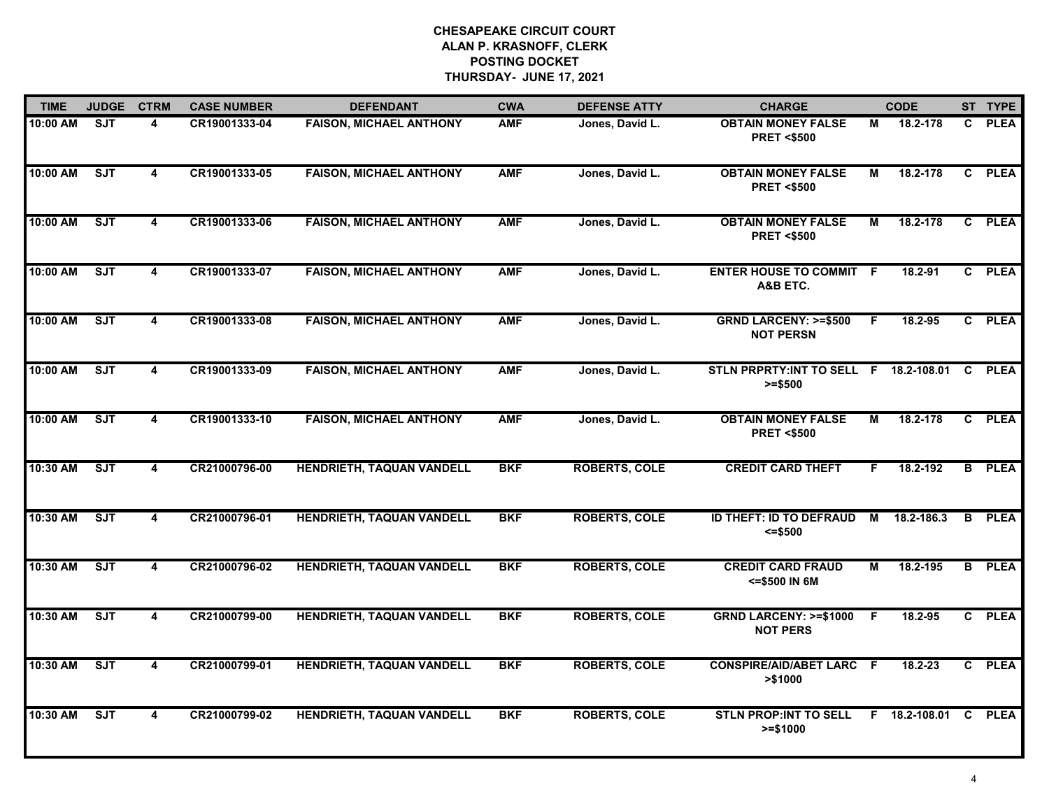| <b>TIME</b> | <b>JUDGE</b> | <b>CTRM</b>             | <b>CASE NUMBER</b> | <b>DEFENDANT</b>                 | <b>CWA</b> | <b>DEFENSE ATTY</b>  | <b>CHARGE</b>                                       |                | <b>CODE</b>   |    | ST TYPE       |
|-------------|--------------|-------------------------|--------------------|----------------------------------|------------|----------------------|-----------------------------------------------------|----------------|---------------|----|---------------|
| 10:00 AM    | <b>SJT</b>   | 4                       | CR19001333-04      | <b>FAISON. MICHAEL ANTHONY</b>   | <b>AMF</b> | Jones, David L.      | <b>OBTAIN MONEY FALSE</b><br><b>PRET &lt;\$500</b>  | М              | 18.2-178      | C. | <b>PLEA</b>   |
| 10:00 AM    | SJT          | $\overline{\mathbf{4}}$ | CR19001333-05      | <b>FAISON, MICHAEL ANTHONY</b>   | <b>AMF</b> | Jones, David L.      | <b>OBTAIN MONEY FALSE</b><br><b>PRET &lt;\$500</b>  | М              | 18.2-178      |    | C PLEA        |
| 10:00 AM    | ST           | $\overline{\mathbf{4}}$ | CR19001333-06      | <b>FAISON, MICHAEL ANTHONY</b>   | <b>AMF</b> | Jones, David L.      | <b>OBTAIN MONEY FALSE</b><br><b>PRET &lt;\$500</b>  | М              | 18.2-178      |    | C PLEA        |
| 10:00 AM    | SJT          | 4                       | CR19001333-07      | <b>FAISON, MICHAEL ANTHONY</b>   | <b>AMF</b> | Jones, David L.      | <b>ENTER HOUSE TO COMMIT F</b><br>A&B ETC.          |                | 18.2-91       |    | C PLEA        |
| 10:00 AM    | ST           | 4                       | CR19001333-08      | <b>FAISON, MICHAEL ANTHONY</b>   | <b>AMF</b> | Jones, David L.      | <b>GRND LARCENY: &gt;=\$500</b><br><b>NOT PERSN</b> | F.             | 18.2-95       |    | C PLEA        |
| 10:00 AM    | ST           | 4                       | CR19001333-09      | <b>FAISON, MICHAEL ANTHONY</b>   | <b>AMF</b> | Jones, David L.      | STLN PRPRTY:INT TO SELL F 18.2-108.01<br>$>= $500$  |                |               | C  | <b>PLEA</b>   |
| 10:00 AM    | SJT          | $\overline{\mathbf{4}}$ | CR19001333-10      | <b>FAISON, MICHAEL ANTHONY</b>   | <b>AMF</b> | Jones, David L.      | <b>OBTAIN MONEY FALSE</b><br><b>PRET &lt;\$500</b>  | $\overline{M}$ | 18.2-178      | C  | <b>PLEA</b>   |
| 10:30 AM    | ST           | 4                       | CR21000796-00      | HENDRIETH, TAQUAN VANDELL        | <b>BKF</b> | <b>ROBERTS, COLE</b> | <b>CREDIT CARD THEFT</b>                            | F              | 18.2-192      | B  | <b>PLEA</b>   |
| 10:30 AM    | ST           | 4                       | CR21000796-01      | HENDRIETH, TAQUAN VANDELL        | <b>BKF</b> | <b>ROBERTS, COLE</b> | <b>ID THEFT: ID TO DEFRAUD</b><br>$= $500$          | М              | 18.2-186.3    | B  | <b>PLEA</b>   |
| 10:30 AM    | ST           | 4                       | CR21000796-02      | <b>HENDRIETH, TAQUAN VANDELL</b> | <b>BKF</b> | <b>ROBERTS, COLE</b> | <b>CREDIT CARD FRAUD</b><br><= \$500 IN 6M          | М              | 18.2-195      |    | <b>B</b> PLEA |
| 10:30 AM    | SJT          | 4                       | CR21000799-00      | HENDRIETH, TAQUAN VANDELL        | <b>BKF</b> | <b>ROBERTS, COLE</b> | <b>GRND LARCENY: &gt;=\$1000</b><br><b>NOT PERS</b> | -F             | 18.2-95       |    | C PLEA        |
| 10:30 AM    | SJT          | 4                       | CR21000799-01      | HENDRIETH, TAQUAN VANDELL        | <b>BKF</b> | <b>ROBERTS, COLE</b> | <b>CONSPIRE/AID/ABET LARC F</b><br>> \$1000         |                | $18.2 - 23$   |    | C PLEA        |
| 10:30 AM    | SJT          | 4                       | CR21000799-02      | HENDRIETH, TAQUAN VANDELL        | <b>BKF</b> | <b>ROBERTS, COLE</b> | <b>STLN PROP:INT TO SELL</b><br>$>= $1000$          |                | F 18.2-108.01 | C  | <b>PLEA</b>   |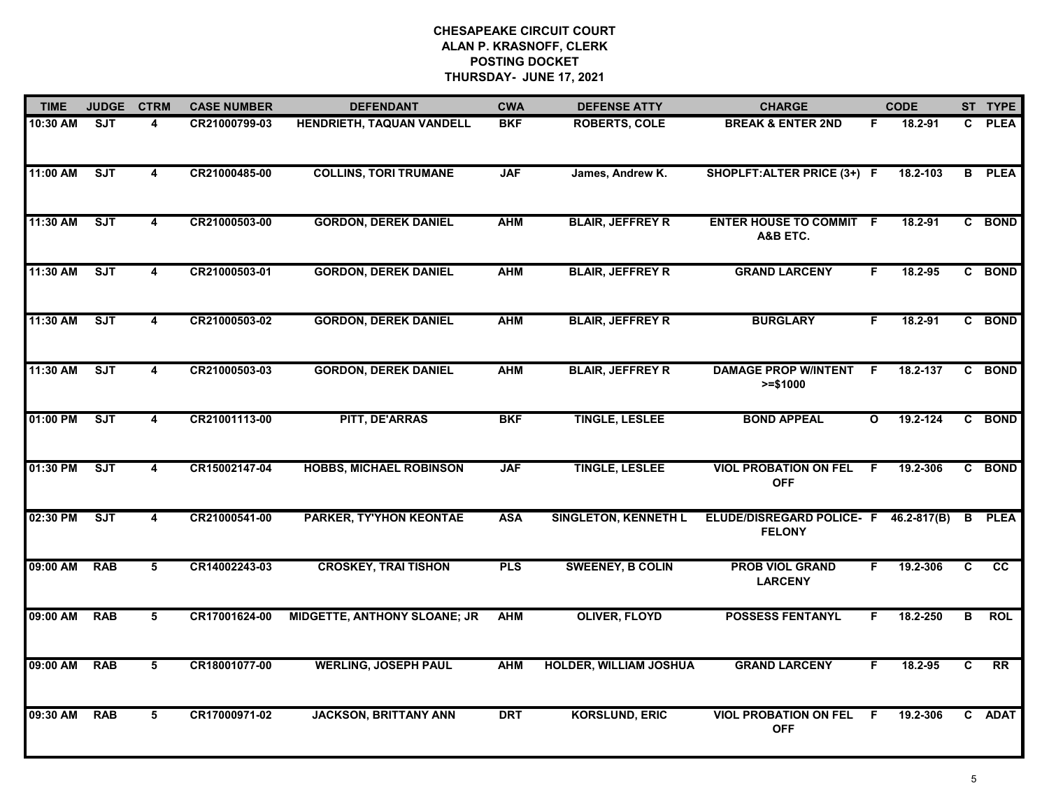| <b>TIME</b> | <b>JUDGE</b> | <b>CTRM</b>             | <b>CASE NUMBER</b> | <b>DEFENDANT</b>                    | <b>CWA</b> | <b>DEFENSE ATTY</b>           | <b>CHARGE</b>                                          |              | <b>CODE</b> |                | ST TYPE         |
|-------------|--------------|-------------------------|--------------------|-------------------------------------|------------|-------------------------------|--------------------------------------------------------|--------------|-------------|----------------|-----------------|
| 10:30 AM    | ST           | 4                       | CR21000799-03      | HENDRIETH, TAQUAN VANDELL           | <b>BKF</b> | <b>ROBERTS, COLE</b>          | <b>BREAK &amp; ENTER 2ND</b>                           | F            | 18.2-91     | C.             | <b>PLEA</b>     |
| 11:00 AM    | SJT          | $\overline{\mathbf{4}}$ | CR21000485-00      | <b>COLLINS, TORI TRUMANE</b>        | <b>JAF</b> | James, Andrew K.              | SHOPLFT: ALTER PRICE (3+) F                            |              | 18.2-103    |                | <b>B</b> PLEA   |
| 11:30 AM    | ST           | 4                       | CR21000503-00      | <b>GORDON, DEREK DANIEL</b>         | <b>AHM</b> | <b>BLAIR, JEFFREY R</b>       | <b>ENTER HOUSE TO COMMIT</b><br>A&B ETC.               | - F          | 18.2-91     |                | C BOND          |
| 11:30 AM    | ST           | 4                       | CR21000503-01      | <b>GORDON, DEREK DANIEL</b>         | <b>AHM</b> | <b>BLAIR, JEFFREY R</b>       | <b>GRAND LARCENY</b>                                   | F.           | 18.2-95     |                | C BOND          |
| 11:30 AM    | ST           | 4                       | CR21000503-02      | <b>GORDON, DEREK DANIEL</b>         | <b>AHM</b> | <b>BLAIR, JEFFREY R</b>       | <b>BURGLARY</b>                                        | F.           | 18.2-91     |                | C BOND          |
| 11:30 AM    | ST           | 4                       | CR21000503-03      | <b>GORDON, DEREK DANIEL</b>         | <b>AHM</b> | <b>BLAIR, JEFFREY R</b>       | <b>DAMAGE PROP W/INTENT F</b><br>$>= $1000$            |              | 18.2-137    |                | C BOND          |
| 01:00 PM    | SJT          | $\overline{\mathbf{4}}$ | CR21001113-00      | PITT, DE'ARRAS                      | <b>BKF</b> | <b>TINGLE, LESLEE</b>         | <b>BOND APPEAL</b>                                     | $\mathbf{o}$ | 19.2-124    |                | C BOND          |
| 01:30 PM    | <b>SJT</b>   | 4                       | CR15002147-04      | <b>HOBBS, MICHAEL ROBINSON</b>      | <b>JAF</b> | <b>TINGLE, LESLEE</b>         | <b>VIOL PROBATION ON FEL</b><br><b>OFF</b>             | F            | 19.2-306    |                | C BOND          |
| 02:30 PM    | ST           | 4                       | CR21000541-00      | <b>PARKER, TY'YHON KEONTAE</b>      | <b>ASA</b> | <b>SINGLETON, KENNETH L</b>   | ELUDE/DISREGARD POLICE- F 46.2-817(B)<br><b>FELONY</b> |              |             | B.             | <b>PLEA</b>     |
| 09:00 AM    | <b>RAB</b>   | 5                       | CR14002243-03      | <b>CROSKEY, TRAI TISHON</b>         | <b>PLS</b> | <b>SWEENEY, B COLIN</b>       | <b>PROB VIOL GRAND</b><br><b>LARCENY</b>               | F.           | 19.2-306    | C              | cc              |
| 09:00 AM    | <b>RAB</b>   | 5                       | CR17001624-00      | <b>MIDGETTE, ANTHONY SLOANE; JR</b> | <b>AHM</b> | <b>OLIVER, FLOYD</b>          | <b>POSSESS FENTANYL</b>                                | F.           | 18.2-250    | B              | <b>ROL</b>      |
| 09:00 AM    | <b>RAB</b>   | $\overline{5}$          | CR18001077-00      | <b>WERLING, JOSEPH PAUL</b>         | <b>AHM</b> | <b>HOLDER, WILLIAM JOSHUA</b> | <b>GRAND LARCENY</b>                                   | F.           | 18.2-95     | $\overline{c}$ | $\overline{RR}$ |
| 09:30 AM    | <b>RAB</b>   | 5                       | CR17000971-02      | <b>JACKSON, BRITTANY ANN</b>        | <b>DRT</b> | <b>KORSLUND, ERIC</b>         | <b>VIOL PROBATION ON FEL</b><br><b>OFF</b>             | F            | 19.2-306    | $\mathbf{c}$   | <b>ADAT</b>     |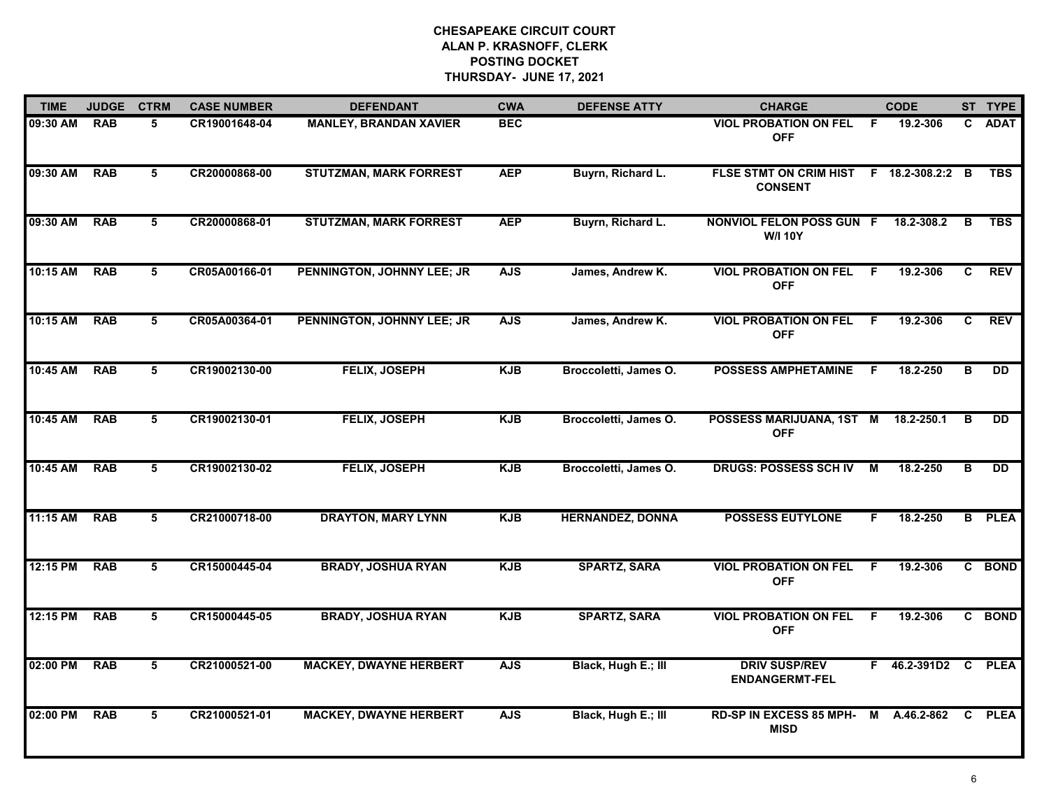| <b>TIME</b> | <b>JUDGE</b> | <b>CTRM</b> | <b>CASE NUMBER</b> | <b>DEFENDANT</b>              | <b>CWA</b> | <b>DEFENSE ATTY</b>     | <b>CHARGE</b>                                 |     | <b>CODE</b>         |              | ST TYPE         |
|-------------|--------------|-------------|--------------------|-------------------------------|------------|-------------------------|-----------------------------------------------|-----|---------------------|--------------|-----------------|
| 09:30 AM    | <b>RAB</b>   | 5.          | CR19001648-04      | <b>MANLEY, BRANDAN XAVIER</b> | <b>BEC</b> |                         | <b>VIOL PROBATION ON FEL</b><br><b>OFF</b>    | -F  | 19.2-306            | C.           | <b>ADAT</b>     |
| 09:30 AM    | <b>RAB</b>   | 5           | CR20000868-00      | <b>STUTZMAN, MARK FORREST</b> | <b>AEP</b> | Buyrn, Richard L.       | FLSE STMT ON CRIM HIST<br><b>CONSENT</b>      |     | F 18.2-308.2:2 B    |              | <b>TBS</b>      |
| 09:30 AM    | <b>RAB</b>   | 5           | CR20000868-01      | <b>STUTZMAN, MARK FORREST</b> | <b>AEP</b> | Buyrn, Richard L.       | NONVIOL FELON POSS GUN F<br><b>W/I 10Y</b>    |     | $18.2 - 308.2$      | B            | <b>TBS</b>      |
| 10:15 AM    | <b>RAB</b>   | 5           | CR05A00166-01      | PENNINGTON, JOHNNY LEE; JR    | <b>AJS</b> | James, Andrew K.        | <b>VIOL PROBATION ON FEL</b><br><b>OFF</b>    | - F | 19.2-306            | C            | <b>REV</b>      |
| 10:15 AM    | <b>RAB</b>   | 5           | CR05A00364-01      | PENNINGTON, JOHNNY LEE; JR    | <b>AJS</b> | James, Andrew K.        | <b>VIOL PROBATION ON FEL</b><br><b>OFF</b>    | -F  | 19.2-306            | C            | <b>REV</b>      |
| 10:45 AM    | <b>RAB</b>   | 5           | CR19002130-00      | <b>FELIX, JOSEPH</b>          | <b>KJB</b> | Broccoletti, James O.   | <b>POSSESS AMPHETAMINE</b>                    | F   | 18.2-250            | B            | $\overline{DD}$ |
| 10:45 AM    | <b>RAB</b>   | 5           | CR19002130-01      | <b>FELIX, JOSEPH</b>          | <b>KJB</b> | Broccoletti, James O.   | POSSESS MARIJUANA, 1ST M<br><b>OFF</b>        |     | 18.2-250.1          | B            | $\overline{DD}$ |
| 10:45 AM    | <b>RAB</b>   | 5           | CR19002130-02      | FELIX, JOSEPH                 | <b>KJB</b> | Broccoletti, James O.   | <b>DRUGS: POSSESS SCH IV</b>                  | M   | 18.2-250            | B            | <b>DD</b>       |
| 11:15 AM    | <b>RAB</b>   | 5           | CR21000718-00      | <b>DRAYTON, MARY LYNN</b>     | <b>KJB</b> | <b>HERNANDEZ, DONNA</b> | <b>POSSESS EUTYLONE</b>                       | F.  | 18.2-250            |              | <b>B</b> PLEA   |
| 12:15 PM    | <b>RAB</b>   | 5           | CR15000445-04      | <b>BRADY, JOSHUA RYAN</b>     | <b>KJB</b> | <b>SPARTZ, SARA</b>     | <b>VIOL PROBATION ON FEL</b><br><b>OFF</b>    | - F | 19.2-306            |              | C BOND          |
| 12:15 PM    | <b>RAB</b>   | 5           | CR15000445-05      | <b>BRADY, JOSHUA RYAN</b>     | <b>KJB</b> | <b>SPARTZ, SARA</b>     | <b>VIOL PROBATION ON FEL</b><br><b>OFF</b>    | -F  | 19.2-306            |              | C BOND          |
| 02:00 PM    | <b>RAB</b>   | 5           | CR21000521-00      | <b>MACKEY, DWAYNE HERBERT</b> | <b>AJS</b> | Black, Hugh E.; III     | <b>DRIV SUSP/REV</b><br><b>ENDANGERMT-FEL</b> |     | F 46.2-391D2 C PLEA |              |                 |
| 02:00 PM    | <b>RAB</b>   | 5           | CR21000521-01      | <b>MACKEY, DWAYNE HERBERT</b> | <b>AJS</b> | Black, Hugh E.; III     | <b>RD-SP IN EXCESS 85 MPH-</b><br><b>MISD</b> | M   | A.46.2-862          | $\mathbf{C}$ | <b>PLEA</b>     |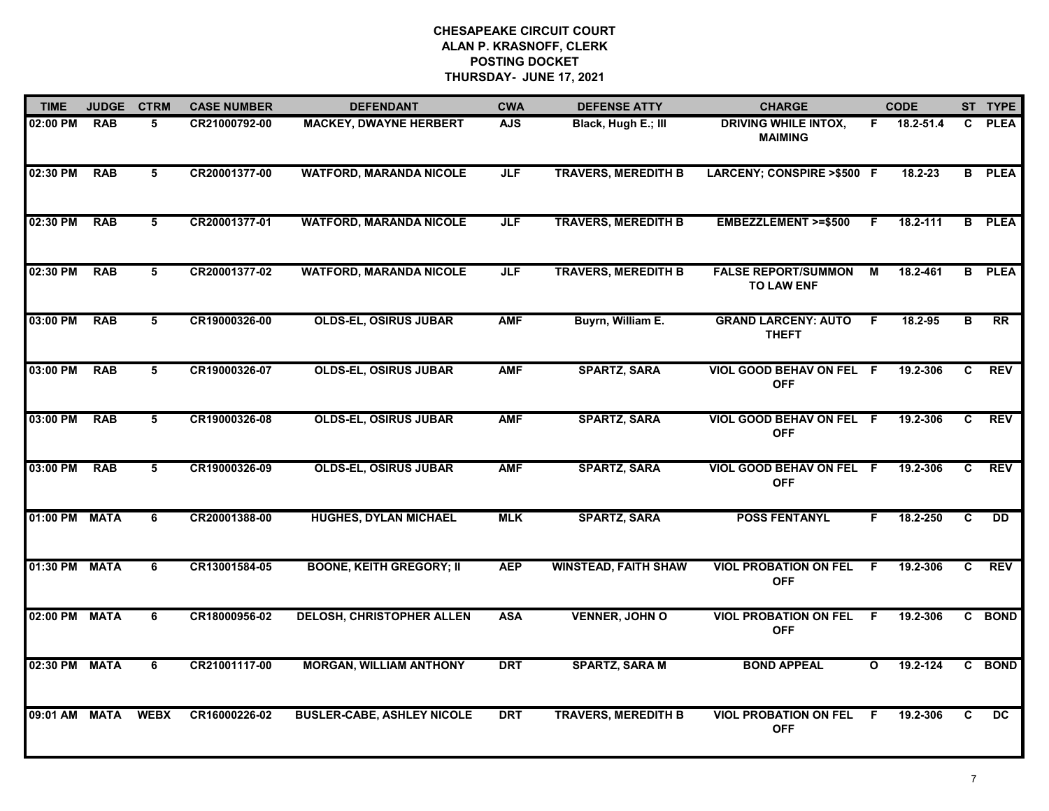| <b>TIME</b>   | <b>JUDGE</b> | <b>CTRM</b>     | <b>CASE NUMBER</b> | <b>DEFENDANT</b>                  | <b>CWA</b> | <b>DEFENSE ATTY</b>         | <b>CHARGE</b>                                   |              | <b>CODE</b> |                | ST TYPE       |
|---------------|--------------|-----------------|--------------------|-----------------------------------|------------|-----------------------------|-------------------------------------------------|--------------|-------------|----------------|---------------|
| 02:00 PM      | <b>RAB</b>   | 5               | CR21000792-00      | <b>MACKEY, DWAYNE HERBERT</b>     | <b>AJS</b> | Black, Hugh E.; III         | <b>DRIVING WHILE INTOX,</b><br><b>MAIMING</b>   | F.           | 18.2-51.4   | C.             | <b>PLEA</b>   |
| 02:30 PM      | <b>RAB</b>   | 5               | CR20001377-00      | <b>WATFORD, MARANDA NICOLE</b>    | JLF        | <b>TRAVERS, MEREDITH B</b>  | LARCENY; CONSPIRE >\$500 F                      |              | 18.2-23     |                | <b>B</b> PLEA |
| 02:30 PM      | <b>RAB</b>   | 5               | CR20001377-01      | <b>WATFORD, MARANDA NICOLE</b>    | <b>JLF</b> | <b>TRAVERS, MEREDITH B</b>  | EMBEZZLEMENT >=\$500                            | F.           | 18.2-111    | B              | <b>PLEA</b>   |
| 02:30 PM      | <b>RAB</b>   | 5               | CR20001377-02      | <b>WATFORD, MARANDA NICOLE</b>    | <b>JLF</b> | <b>TRAVERS, MEREDITH B</b>  | <b>FALSE REPORT/SUMMON</b><br><b>TO LAW ENF</b> | м            | 18.2-461    | B              | <b>PLEA</b>   |
| 03:00 PM      | <b>RAB</b>   | 5               | CR19000326-00      | <b>OLDS-EL, OSIRUS JUBAR</b>      | <b>AMF</b> | Buyrn, William E.           | <b>GRAND LARCENY: AUTO</b><br><b>THEFT</b>      | F.           | 18.2-95     | в              | <b>RR</b>     |
| 03:00 PM      | <b>RAB</b>   | 5               | CR19000326-07      | <b>OLDS-EL, OSIRUS JUBAR</b>      | <b>AMF</b> | <b>SPARTZ, SARA</b>         | VIOL GOOD BEHAV ON FEL F<br><b>OFF</b>          |              | 19.2-306    | C.             | <b>REV</b>    |
| 03:00 PM      | <b>RAB</b>   | $5\overline{5}$ | CR19000326-08      | <b>OLDS-EL, OSIRUS JUBAR</b>      | <b>AMF</b> | <b>SPARTZ, SARA</b>         | VIOL GOOD BEHAV ON FEL F<br><b>OFF</b>          |              | 19.2-306    | C.             | <b>REV</b>    |
| 03:00 PM      | <b>RAB</b>   | 5               | CR19000326-09      | <b>OLDS-EL, OSIRUS JUBAR</b>      | <b>AMF</b> | <b>SPARTZ, SARA</b>         | VIOL GOOD BEHAV ON FEL F<br><b>OFF</b>          |              | 19.2-306    | $\mathbf{c}$   | <b>REV</b>    |
| 01:00 PM MATA |              | 6.              | CR20001388-00      | <b>HUGHES, DYLAN MICHAEL</b>      | <b>MLK</b> | <b>SPARTZ, SARA</b>         | <b>POSS FENTANYL</b>                            | F.           | 18.2-250    | C              | <b>DD</b>     |
| 01:30 PM      | <b>MATA</b>  | 6               | CR13001584-05      | <b>BOONE, KEITH GREGORY; II</b>   | <b>AEP</b> | <b>WINSTEAD, FAITH SHAW</b> | <b>VIOL PROBATION ON FEL</b><br><b>OFF</b>      | F            | 19.2-306    | $\overline{c}$ | <b>REV</b>    |
| 02:00 PM MATA |              | 6               | CR18000956-02      | <b>DELOSH, CHRISTOPHER ALLEN</b>  | <b>ASA</b> | <b>VENNER, JOHN O</b>       | <b>VIOL PROBATION ON FEL</b><br><b>OFF</b>      | F.           | 19.2-306    |                | C BOND        |
| 02:30 PM MATA |              | 6               | CR21001117-00      | <b>MORGAN, WILLIAM ANTHONY</b>    | <b>DRT</b> | <b>SPARTZ, SARA M</b>       | <b>BOND APPEAL</b>                              | $\mathbf{o}$ | 19.2-124    | C              | <b>BOND</b>   |
| 09:01 AM MATA |              | <b>WEBX</b>     | CR16000226-02      | <b>BUSLER-CABE, ASHLEY NICOLE</b> | <b>DRT</b> | <b>TRAVERS, MEREDITH B</b>  | <b>VIOL PROBATION ON FEL</b><br><b>OFF</b>      | F            | 19.2-306    | C              | <b>DC</b>     |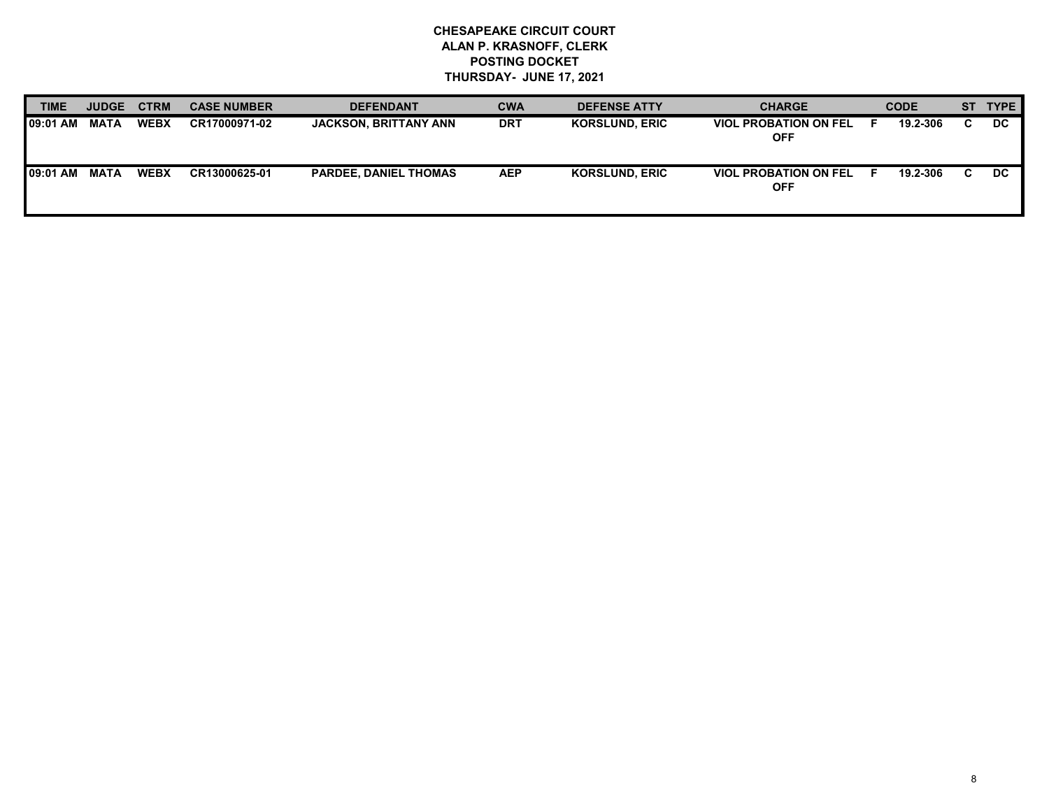| <b>TIME</b> | <b>JUDGE</b> | <b>CTRM</b> | <b>CASE NUMBER</b> | <b>DEFENDANT</b>             | <b>CWA</b> | <b>DEFENSE ATTY</b>   | <b>CHARGE</b>                              | <b>CODE</b> |    | ST TYPE |
|-------------|--------------|-------------|--------------------|------------------------------|------------|-----------------------|--------------------------------------------|-------------|----|---------|
| 109:01 AM   | MATA         | <b>WEBX</b> | CR17000971-02      | <b>JACKSON, BRITTANY ANN</b> | <b>DRT</b> | <b>KORSLUND, ERIC</b> | <b>VIOL PROBATION ON FEL</b><br><b>OFF</b> | 19.2-306    | C. | DC.     |
| 09:01 AM    | MATA         | <b>WEBX</b> | CR13000625-01      | <b>PARDEE, DANIEL THOMAS</b> | AEP        | <b>KORSLUND, ERIC</b> | <b>VIOL PROBATION ON FEL</b><br><b>OFF</b> | 19.2-306    | C. | DC.     |